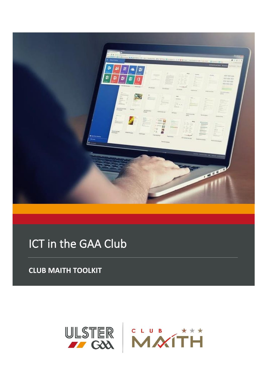

# ICT in the GAA Club

**CLUB MAITH TOOLKIT**

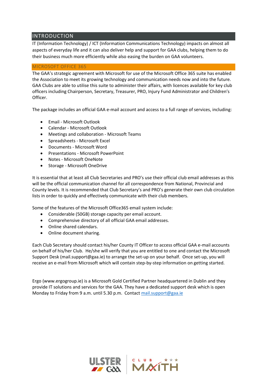## INTRODUCTION

IT (Information Technology) / ICT (Information Communications Technology) impacts on almost all aspects of everyday life and it can also deliver help and support for GAA clubs, helping them to do their business much more efficiently while also easing the burden on GAA volunteers.

#### MICROSOFT OFFICE 365

The GAA's strategic agreement with Microsoft for use of the Microsoft Office 365 suite has enabled the Association to meet its growing technology and communication needs now and into the future. GAA Clubs are able to utilise this suite to administer their affairs, with licences available for key club officers including Chairperson, Secretary, Treasurer, PRO, Injury Fund Administrator and Children's Officer.

The package includes an official GAA e-mail account and access to a full range of services, including:

- Email Microsoft Outlook
- Calendar Microsoft Outlook
- Meetings and collaboration Microsoft Teams
- Spreadsheets Microsoft Excel
- Documents Microsoft Word
- Presentations Microsoft PowerPoint
- Notes Microsoft OneNote
- Storage Microsoft OneDrive

It is essential that at least all Club Secretaries and PRO's use their official club email addresses as this will be the official communication channel for all correspondence from National, Provincial and County levels. It is recommended that Club Secretary's and PRO's generate their own club circulation lists in order to quickly and effectively communicate with their club members.

Some of the features of the Microsoft Office365 email system include:

- Considerable (50GB) storage capacity per email account.
- Comprehensive directory of all official GAA email addresses.
- Online shared calendars.
- Online document sharing.

Each Club Secretary should contact his/her County IT Officer to access official GAA e-mail accounts on behalf of his/her Club. He/she will verify that you are entitled to one and contact the Microsoft Support Desk (mail.support@gaa.ie) to arrange the set-up on your behalf. Once set-up, you will receive an e-mail from Microsoft which will contain step-by-step information on getting started.

Ergo (www.ergogroup.ie) is a Microsoft Gold Certified Partner headquartered in Dublin and they provide IT solutions and services for the GAA. They have a dedicated support desk which is open Monday to Friday from 9 a.m. until 5.30 p.m. Contact [mail.support@gaa.ie](mailto:mail.support@gaa.ie)